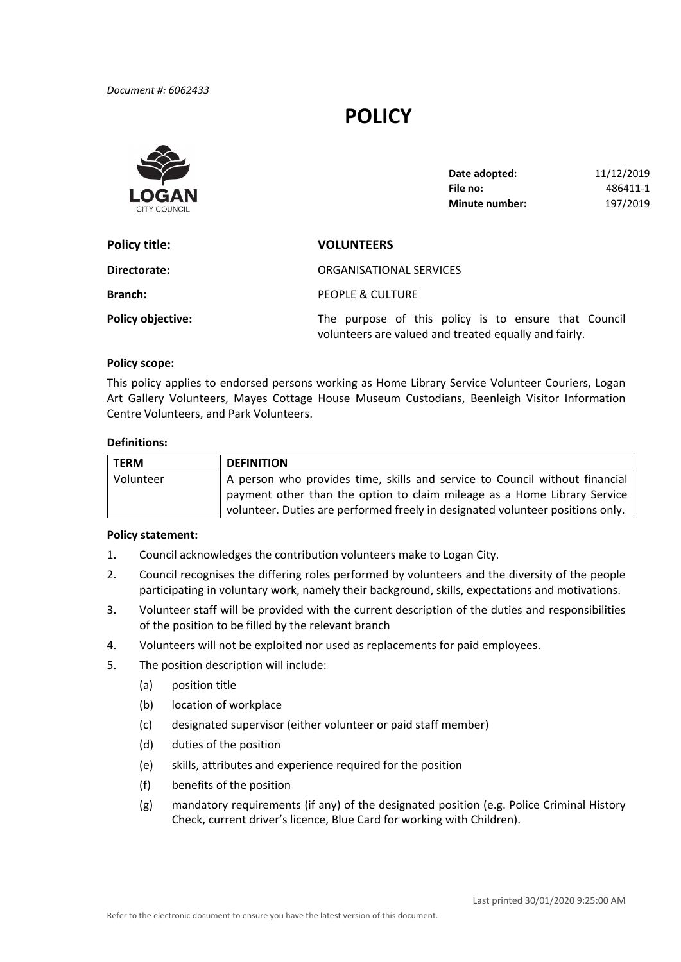# **POLICY**



| Date adopted:  | 11/12/2019 |
|----------------|------------|
| File no:       | 486411-1   |
| Minute number: | 197/2019   |

| Policy title:            | <b>VOLUNTEERS</b>                                                                                             |  |
|--------------------------|---------------------------------------------------------------------------------------------------------------|--|
| Directorate:             | ORGANISATIONAL SERVICES                                                                                       |  |
| <b>Branch:</b>           | PEOPLE & CULTURE                                                                                              |  |
| <b>Policy objective:</b> | The purpose of this policy is to ensure that Council<br>volunteers are valued and treated equally and fairly. |  |

#### **Policy scope:**

 This policy applies to endorsed persons working as Home Library Service Volunteer Couriers, Logan Art Gallery Volunteers, Mayes Cottage House Museum Custodians, Beenleigh Visitor Information Centre Volunteers, and Park Volunteers.

# **Definitions:**

| <b>TERM</b> | <b>DEFINITION</b>                                                              |
|-------------|--------------------------------------------------------------------------------|
| Volunteer   | A person who provides time, skills and service to Council without financial    |
|             | payment other than the option to claim mileage as a Home Library Service       |
|             | volunteer. Duties are performed freely in designated volunteer positions only. |

## **Policy statement:**

- 1. Council acknowledges the contribution volunteers make to Logan City.
- 2. Council recognises the differing roles performed by volunteers and the diversity of the people participating in voluntary work, namely their background, skills, expectations and motivations.
- 3. Volunteer staff will be provided with the current description of the duties and responsibilities of the position to be filled by the relevant branch
- 4. Volunteers will not be exploited nor used as replacements for paid employees.
- 5. The position description will include:
	- (a) position title
	- (b) location of workplace
	- (c) designated supervisor (either volunteer or paid staff member)
	- (d) duties of the position
	- (e) skills, attributes and experience required for the position
	- (f) benefits of the position
	- (g) mandatory requirements (if any) of the designated position (e.g. Police Criminal History Check, current driver's licence, Blue Card for working with Children).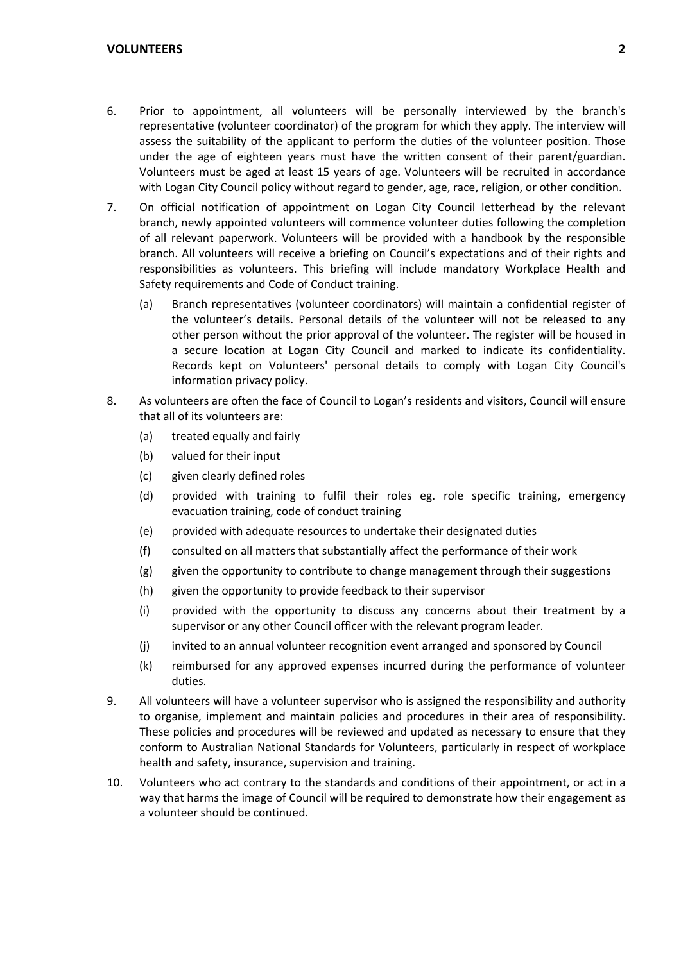- 6. Prior to appointment, all volunteers will be personally interviewed by the branch's representative (volunteer coordinator) of the program for which they apply. The interview will assess the suitability of the applicant to perform the duties of the volunteer position. Those under the age of eighteen years must have the written consent of their parent/guardian. Volunteers must be aged at least 15 years of age. Volunteers will be recruited in accordance with Logan City Council policy without regard to gender, age, race, religion, or other condition.
- 7. On official notification of appointment on Logan City Council letterhead by the relevant branch, newly appointed volunteers will commence volunteer duties following the completion of all relevant paperwork. Volunteers will be provided with a handbook by the responsible branch. All volunteers will receive a briefing on Council's expectations and of their rights and responsibilities as volunteers. This briefing will include mandatory Workplace Health and Safety requirements and Code of Conduct training.
	- (a) Branch representatives (volunteer coordinators) will maintain a confidential register of the volunteer's details. Personal details of the volunteer will not be released to any other person without the prior approval of the volunteer. The register will be housed in a secure location at Logan City Council and marked to indicate its confidentiality. Records kept on Volunteers' personal details to comply with Logan City Council's information privacy policy.
- 8. As volunteers are often the face of Council to Logan's residents and visitors, Council will ensure that all of its volunteers are:
	- (a) treated equally and fairly
	- (b) valued for their input
	- (c) given clearly defined roles
	- (d) provided with training to fulfil their roles eg. role specific training, emergency evacuation training, code of conduct training
	- (e) provided with adequate resources to undertake their designated duties
	- (f) consulted on all matters that substantially affect the performance of their work
	- (g) given the opportunity to contribute to change management through their suggestions
	- (h) given the opportunity to provide feedback to their supervisor
	- (i) provided with the opportunity to discuss any concerns about their treatment by a supervisor or any other Council officer with the relevant program leader.
	- (j) invited to an annual volunteer recognition event arranged and sponsored by Council
	- (k) reimbursed for any approved expenses incurred during the performance of volunteer duties.
- 9. All volunteers will have a volunteer supervisor who is assigned the responsibility and authority to organise, implement and maintain policies and procedures in their area of responsibility. These policies and procedures will be reviewed and updated as necessary to ensure that they conform to Australian National Standards for Volunteers, particularly in respect of workplace health and safety, insurance, supervision and training.
- 10. Volunteers who act contrary to the standards and conditions of their appointment, or act in a way that harms the image of Council will be required to demonstrate how their engagement as a volunteer should be continued.